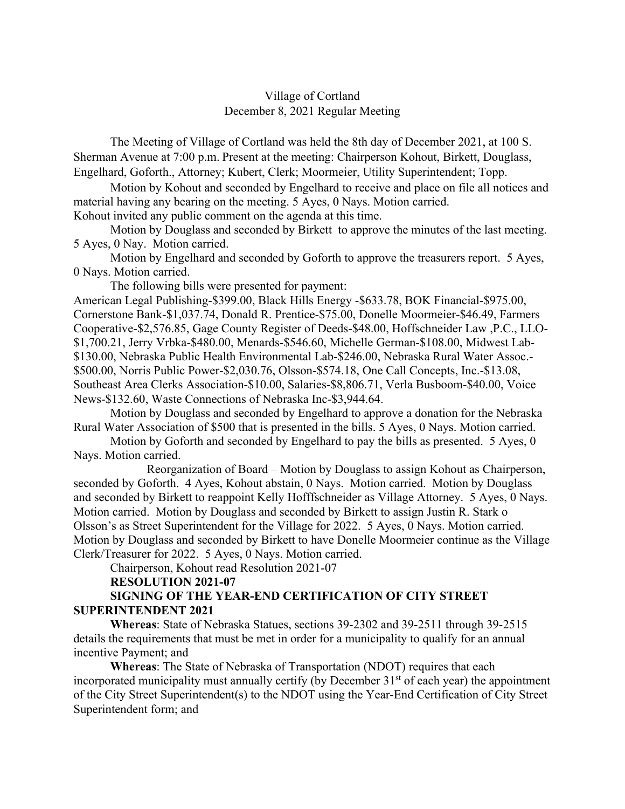## Village of Cortland December 8, 2021 Regular Meeting

The Meeting of Village of Cortland was held the 8th day of December 2021, at 100 S. Sherman Avenue at 7:00 p.m. Present at the meeting: Chairperson Kohout, Birkett, Douglass, Engelhard, Goforth., Attorney; Kubert, Clerk; Moormeier, Utility Superintendent; Topp.

Motion by Kohout and seconded by Engelhard to receive and place on file all notices and material having any bearing on the meeting. 5 Ayes, 0 Nays. Motion carried.

Kohout invited any public comment on the agenda at this time.

Motion by Douglass and seconded by Birkett to approve the minutes of the last meeting. 5 Ayes, 0 Nay. Motion carried.

Motion by Engelhard and seconded by Goforth to approve the treasurers report. 5 Ayes, 0 Nays. Motion carried.

The following bills were presented for payment:

American Legal Publishing-\$399.00, Black Hills Energy -\$633.78, BOK Financial-\$975.00, Cornerstone Bank-\$1,037.74, Donald R. Prentice-\$75.00, Donelle Moormeier-\$46.49, Farmers Cooperative-\$2,576.85, Gage County Register of Deeds-\$48.00, Hoffschneider Law ,P.C., LLO- \$1,700.21, Jerry Vrbka-\$480.00, Menards-\$546.60, Michelle German-\$108.00, Midwest Lab- \$130.00, Nebraska Public Health Environmental Lab-\$246.00, Nebraska Rural Water Assoc.- \$500.00, Norris Public Power-\$2,030.76, Olsson-\$574.18, One Call Concepts, Inc.-\$13.08, Southeast Area Clerks Association-\$10.00, Salaries-\$8,806.71, Verla Busboom-\$40.00, Voice News-\$132.60, Waste Connections of Nebraska Inc-\$3,944.64.

Motion by Douglass and seconded by Engelhard to approve a donation for the Nebraska Rural Water Association of \$500 that is presented in the bills. 5 Ayes, 0 Nays. Motion carried.

Motion by Goforth and seconded by Engelhard to pay the bills as presented. 5 Ayes, 0 Nays. Motion carried.

 Reorganization of Board – Motion by Douglass to assign Kohout as Chairperson, seconded by Goforth. 4 Ayes, Kohout abstain, 0 Nays. Motion carried. Motion by Douglass and seconded by Birkett to reappoint Kelly Hofffschneider as Village Attorney. 5 Ayes, 0 Nays. Motion carried. Motion by Douglass and seconded by Birkett to assign Justin R. Stark o Olsson's as Street Superintendent for the Village for 2022. 5 Ayes, 0 Nays. Motion carried. Motion by Douglass and seconded by Birkett to have Donelle Moormeier continue as the Village Clerk/Treasurer for 2022. 5 Ayes, 0 Nays. Motion carried.

Chairperson, Kohout read Resolution 2021-07

## **RESOLUTION 2021-07**

## **SIGNING OF THE YEAR-END CERTIFICATION OF CITY STREET SUPERINTENDENT 2021**

**Whereas**: State of Nebraska Statues, sections 39-2302 and 39-2511 through 39-2515 details the requirements that must be met in order for a municipality to qualify for an annual incentive Payment; and

**Whereas**: The State of Nebraska of Transportation (NDOT) requires that each incorporated municipality must annually certify (by December  $31<sup>st</sup>$  of each year) the appointment of the City Street Superintendent(s) to the NDOT using the Year-End Certification of City Street Superintendent form; and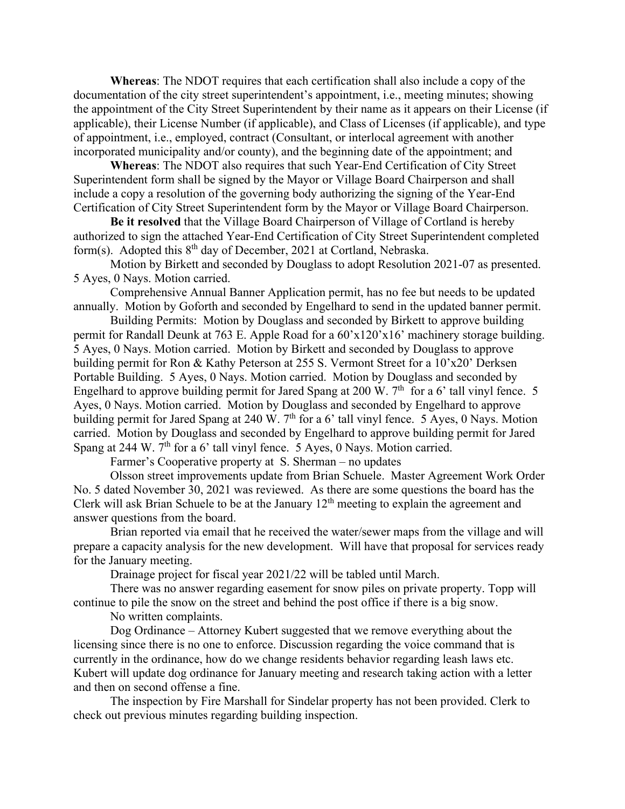**Whereas**: The NDOT requires that each certification shall also include a copy of the documentation of the city street superintendent's appointment, i.e., meeting minutes; showing the appointment of the City Street Superintendent by their name as it appears on their License (if applicable), their License Number (if applicable), and Class of Licenses (if applicable), and type of appointment, i.e., employed, contract (Consultant, or interlocal agreement with another incorporated municipality and/or county), and the beginning date of the appointment; and

**Whereas**: The NDOT also requires that such Year-End Certification of City Street Superintendent form shall be signed by the Mayor or Village Board Chairperson and shall include a copy a resolution of the governing body authorizing the signing of the Year-End Certification of City Street Superintendent form by the Mayor or Village Board Chairperson.

**Be it resolved** that the Village Board Chairperson of Village of Cortland is hereby authorized to sign the attached Year-End Certification of City Street Superintendent completed form(s). Adopted this  $8<sup>th</sup>$  day of December, 2021 at Cortland, Nebraska.

Motion by Birkett and seconded by Douglass to adopt Resolution 2021-07 as presented. 5 Ayes, 0 Nays. Motion carried.

 Comprehensive Annual Banner Application permit, has no fee but needs to be updated annually. Motion by Goforth and seconded by Engelhard to send in the updated banner permit.

Building Permits: Motion by Douglass and seconded by Birkett to approve building permit for Randall Deunk at 763 E. Apple Road for a 60'x120'x16' machinery storage building. 5 Ayes, 0 Nays. Motion carried. Motion by Birkett and seconded by Douglass to approve building permit for Ron & Kathy Peterson at 255 S. Vermont Street for a 10'x20' Derksen Portable Building. 5 Ayes, 0 Nays. Motion carried. Motion by Douglass and seconded by Engelhard to approve building permit for Jared Spang at 200 W.  $7<sup>th</sup>$  for a 6' tall vinyl fence. 5 Ayes, 0 Nays. Motion carried. Motion by Douglass and seconded by Engelhard to approve building permit for Jared Spang at 240 W.  $7<sup>th</sup>$  for a 6' tall vinyl fence. 5 Ayes, 0 Nays. Motion carried. Motion by Douglass and seconded by Engelhard to approve building permit for Jared Spang at 244 W.  $7<sup>th</sup>$  for a 6' tall vinyl fence. 5 Ayes, 0 Nays. Motion carried.

Farmer's Cooperative property at S. Sherman – no updates

Olsson street improvements update from Brian Schuele. Master Agreement Work Order No. 5 dated November 30, 2021 was reviewed. As there are some questions the board has the Clerk will ask Brian Schuele to be at the January  $12<sup>th</sup>$  meeting to explain the agreement and answer questions from the board.

Brian reported via email that he received the water/sewer maps from the village and will prepare a capacity analysis for the new development. Will have that proposal for services ready for the January meeting.

Drainage project for fiscal year 2021/22 will be tabled until March.

There was no answer regarding easement for snow piles on private property. Topp will continue to pile the snow on the street and behind the post office if there is a big snow.

No written complaints.

 Dog Ordinance – Attorney Kubert suggested that we remove everything about the licensing since there is no one to enforce. Discussion regarding the voice command that is currently in the ordinance, how do we change residents behavior regarding leash laws etc. Kubert will update dog ordinance for January meeting and research taking action with a letter and then on second offense a fine.

 The inspection by Fire Marshall for Sindelar property has not been provided. Clerk to check out previous minutes regarding building inspection.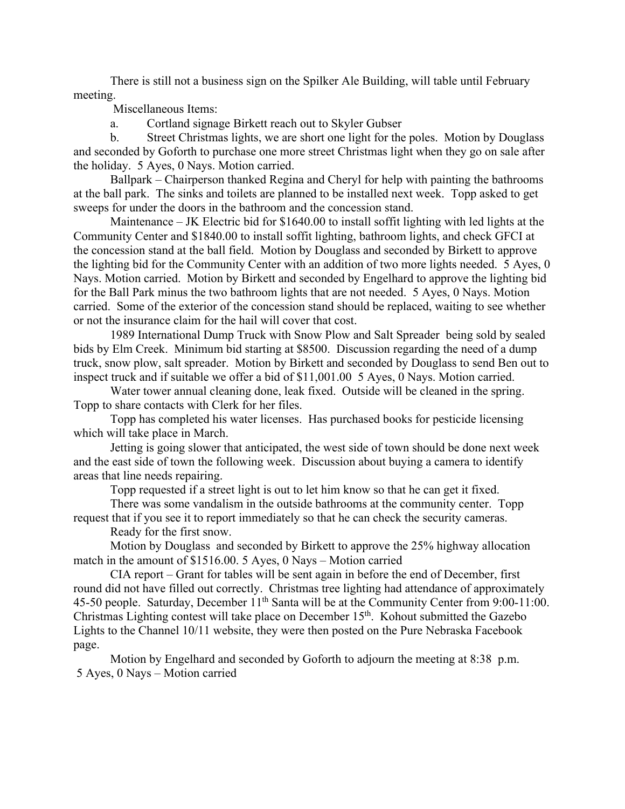There is still not a business sign on the Spilker Ale Building, will table until February meeting.

Miscellaneous Items:

a. Cortland signage Birkett reach out to Skyler Gubser

 b. Street Christmas lights, we are short one light for the poles. Motion by Douglass and seconded by Goforth to purchase one more street Christmas light when they go on sale after the holiday. 5 Ayes, 0 Nays. Motion carried.

 Ballpark – Chairperson thanked Regina and Cheryl for help with painting the bathrooms at the ball park. The sinks and toilets are planned to be installed next week. Topp asked to get sweeps for under the doors in the bathroom and the concession stand.

 Maintenance – JK Electric bid for \$1640.00 to install soffit lighting with led lights at the Community Center and \$1840.00 to install soffit lighting, bathroom lights, and check GFCI at the concession stand at the ball field. Motion by Douglass and seconded by Birkett to approve the lighting bid for the Community Center with an addition of two more lights needed. 5 Ayes, 0 Nays. Motion carried. Motion by Birkett and seconded by Engelhard to approve the lighting bid for the Ball Park minus the two bathroom lights that are not needed. 5 Ayes, 0 Nays. Motion carried.Some of the exterior of the concession stand should be replaced, waiting to see whether or not the insurance claim for the hail will cover that cost.

1989 International Dump Truck with Snow Plow and Salt Spreader being sold by sealed bids by Elm Creek. Minimum bid starting at \$8500. Discussion regarding the need of a dump truck, snow plow, salt spreader. Motion by Birkett and seconded by Douglass to send Ben out to inspect truck and if suitable we offer a bid of \$11,001.00 5 Ayes, 0 Nays. Motion carried.

 Water tower annual cleaning done, leak fixed. Outside will be cleaned in the spring. Topp to share contacts with Clerk for her files.

 Topp has completed his water licenses. Has purchased books for pesticide licensing which will take place in March.

 Jetting is going slower that anticipated, the west side of town should be done next week and the east side of town the following week. Discussion about buying a camera to identify areas that line needs repairing.

Topp requested if a street light is out to let him know so that he can get it fixed.

 There was some vandalism in the outside bathrooms at the community center. Topp request that if you see it to report immediately so that he can check the security cameras.

Ready for the first snow.

 Motion by Douglass and seconded by Birkett to approve the 25% highway allocation match in the amount of \$1516.00. 5 Ayes, 0 Nays – Motion carried

CIA report – Grant for tables will be sent again in before the end of December, first round did not have filled out correctly. Christmas tree lighting had attendance of approximately 45-50 people. Saturday, December 11<sup>th</sup> Santa will be at the Community Center from 9:00-11:00. Christmas Lighting contest will take place on December  $15<sup>th</sup>$ . Kohout submitted the Gazebo Lights to the Channel 10/11 website, they were then posted on the Pure Nebraska Facebook page.

 Motion by Engelhard and seconded by Goforth to adjourn the meeting at 8:38 p.m. 5 Ayes, 0 Nays – Motion carried